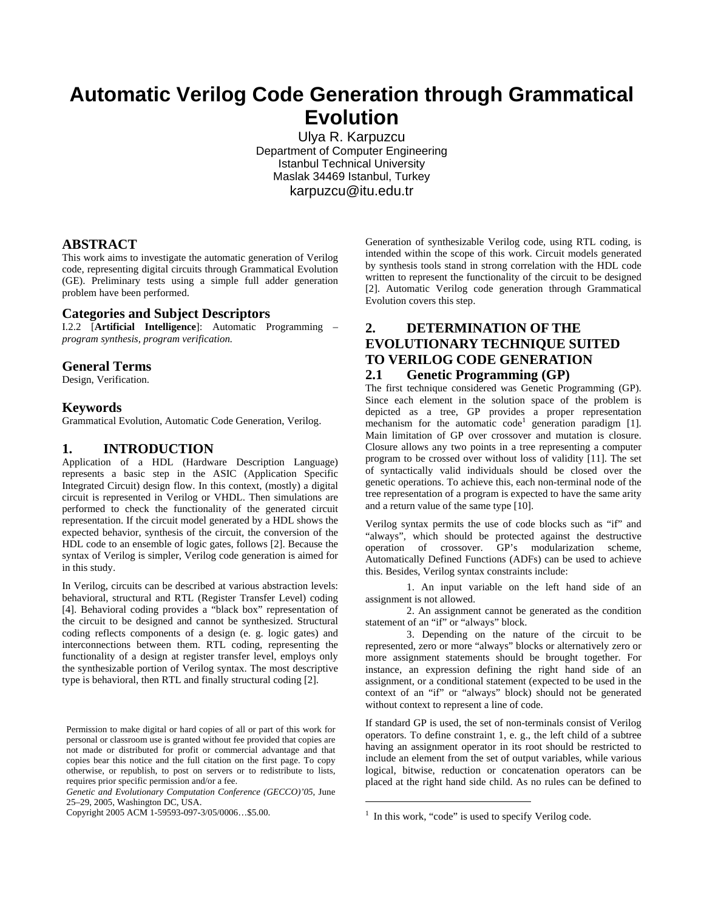# **Automatic Verilog Code Generation through Grammatical Evolution**

Ulya R. Karpuzcu Department of Computer Engineering Istanbul Technical University Maslak 34469 Istanbul, Turkey karpuzcu@itu.edu.tr

#### **ABSTRACT**

This work aims to investigate the automatic generation of Verilog code, representing digital circuits through Grammatical Evolution (GE). Preliminary tests using a simple full adder generation problem have been performed.

#### **Categories and Subject Descriptors**

I.2.2 [**Artificial Intelligence**]: Automatic Programming – *program synthesis, program verification.* 

#### **General Terms**

Design, Verification.

### **Keywords**

Grammatical Evolution, Automatic Code Generation, Verilog.

### **1. INTRODUCTION**

Application of a HDL (Hardware Description Language) represents a basic step in the ASIC (Application Specific Integrated Circuit) design flow. In this context, (mostly) a digital circuit is represented in Verilog or VHDL. Then simulations are performed to check the functionality of the generated circuit representation. If the circuit model generated by a HDL shows the expected behavior, synthesis of the circuit, the conversion of the HDL code to an ensemble of logic gates, follows [2]. Because the syntax of Verilog is simpler, Verilog code generation is aimed for in this study.

In Verilog, circuits can be described at various abstraction levels: behavioral, structural and RTL (Register Transfer Level) coding [4]. Behavioral coding provides a "black box" representation of the circuit to be designed and cannot be synthesized. Structural coding reflects components of a design (e. g. logic gates) and interconnections between them. RTL coding, representing the functionality of a design at register transfer level, employs only the synthesizable portion of Verilog syntax. The most descriptive type is behavioral, then RTL and finally structural coding [2].

*Genetic and Evolutionary Computation Conference (GECCO)'05*, June 25–29, 2005, Washington DC, USA.

Copyright 2005 ACM 1-59593-097-3/05/0006…\$5.00.

Generation of synthesizable Verilog code, using RTL coding, is intended within the scope of this work. Circuit models generated by synthesis tools stand in strong correlation with the HDL code written to represent the functionality of the circuit to be designed [2]. Automatic Verilog code generation through Grammatical Evolution covers this step.

### **2. DETERMINATION OF THE EVOLUTIONARY TECHNIQUE SUITED TO VERILOG CODE GENERATION**

### **2.1 Genetic Programming (GP)**

The first technique considered was Genetic Programming (GP). Since each element in the solution space of the problem is depicted as a tree, GP provides a proper representation mechanismfor the automatic code<sup>1</sup> generation paradigm [1]. Main limitation of GP over crossover and mutation is closure. Closure allows any two points in a tree representing a computer program to be crossed over without loss of validity [11]. The set of syntactically valid individuals should be closed over the genetic operations. To achieve this, each non-terminal node of the tree representation of a program is expected to have the same arity and a return value of the same type [10].

Verilog syntax permits the use of code blocks such as "if" and "always", which should be protected against the destructive operation of crossover. GP's modularization scheme, Automatically Defined Functions (ADFs) can be used to achieve this. Besides, Verilog syntax constraints include:

1. An input variable on the left hand side of an assignment is not allowed.

2. An assignment cannot be generated as the condition statement of an "if" or "always" block.

3. Depending on the nature of the circuit to be represented, zero or more "always" blocks or alternatively zero or more assignment statements should be brought together. For instance, an expression defining the right hand side of an assignment, or a conditional statement (expected to be used in the context of an "if" or "always" block) should not be generated without context to represent a line of code.

If standard GP is used, the set of non-terminals consist of Verilog operators. To define constraint 1, e. g., the left child of a subtree having an assignment operator in its root should be restricted to include an element from the set of output variables, while various logical, bitwise, reduction or concatenation operators can be placed at the right hand side child. As no rules can be defined to

1

Permission to make digital or hard copies of all or part of this work for personal or classroom use is granted without fee provided that copies are not made or distributed for profit or commercial advantage and that copies bear this notice and the full citation on the first page. To copy otherwise, or republish, to post on servers or to redistribute to lists, requires prior specific permission and/or a fee.

<span id="page-0-0"></span> $1$  In this work, "code" is used to specify Verilog code.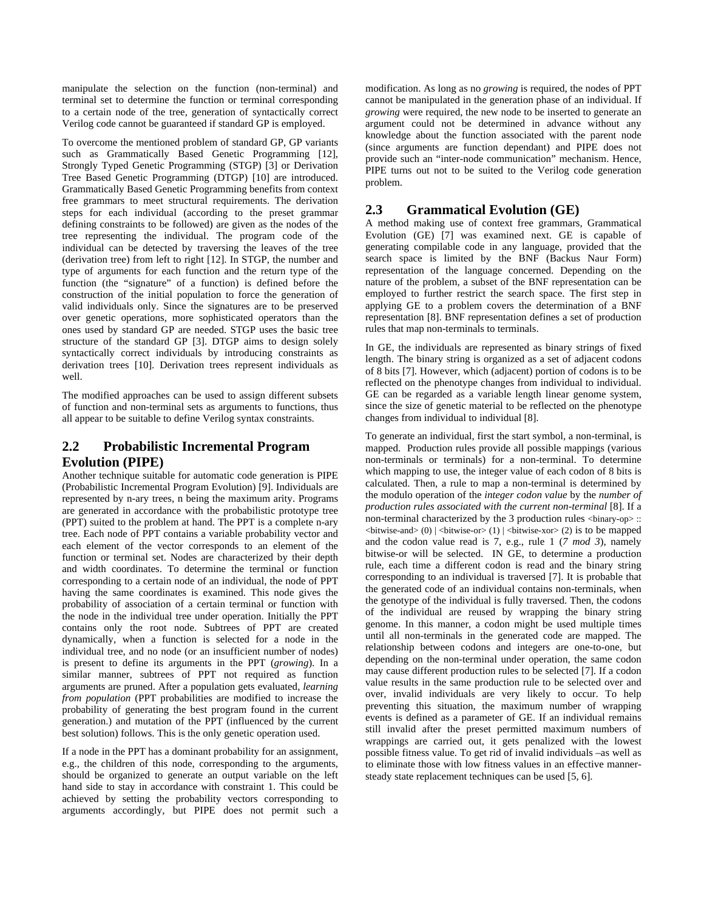manipulate the selection on the function (non-terminal) and terminal set to determine the function or terminal corresponding to a certain node of the tree, generation of syntactically correct Verilog code cannot be guaranteed if standard GP is employed.

To overcome the mentioned problem of standard GP, GP variants such as Grammatically Based Genetic Programming [12], Strongly Typed Genetic Programming (STGP) [3] or Derivation Tree Based Genetic Programming (DTGP) [10] are introduced. Grammatically Based Genetic Programming benefits from context free grammars to meet structural requirements. The derivation steps for each individual (according to the preset grammar defining constraints to be followed) are given as the nodes of the tree representing the individual. The program code of the individual can be detected by traversing the leaves of the tree (derivation tree) from left to right [12]. In STGP, the number and type of arguments for each function and the return type of the function (the "signature" of a function) is defined before the construction of the initial population to force the generation of valid individuals only. Since the signatures are to be preserved over genetic operations, more sophisticated operators than the ones used by standard GP are needed. STGP uses the basic tree structure of the standard GP [3]. DTGP aims to design solely syntactically correct individuals by introducing constraints as derivation trees [10]. Derivation trees represent individuals as well.

The modified approaches can be used to assign different subsets of function and non-terminal sets as arguments to functions, thus all appear to be suitable to define Verilog syntax constraints.

### **2.2 Probabilistic Incremental Program Evolution (PIPE)**

Another technique suitable for automatic code generation is PIPE (Probabilistic Incremental Program Evolution) [9]. Individuals are represented by n-ary trees, n being the maximum arity. Programs are generated in accordance with the probabilistic prototype tree (PPT) suited to the problem at hand. The PPT is a complete n-ary tree. Each node of PPT contains a variable probability vector and each element of the vector corresponds to an element of the function or terminal set. Nodes are characterized by their depth and width coordinates. To determine the terminal or function corresponding to a certain node of an individual, the node of PPT having the same coordinates is examined. This node gives the probability of association of a certain terminal or function with the node in the individual tree under operation. Initially the PPT contains only the root node. Subtrees of PPT are created dynamically, when a function is selected for a node in the individual tree, and no node (or an insufficient number of nodes) is present to define its arguments in the PPT (*growing*). In a similar manner, subtrees of PPT not required as function arguments are pruned. After a population gets evaluated, *learning from population* (PPT probabilities are modified to increase the probability of generating the best program found in the current generation.) and mutation of the PPT (influenced by the current best solution) follows. This is the only genetic operation used.

If a node in the PPT has a dominant probability for an assignment, e.g., the children of this node, corresponding to the arguments, should be organized to generate an output variable on the left hand side to stay in accordance with constraint 1. This could be achieved by setting the probability vectors corresponding to arguments accordingly, but PIPE does not permit such a

modification. As long as no *growing* is required, the nodes of PPT cannot be manipulated in the generation phase of an individual. If *growing* were required, the new node to be inserted to generate an argument could not be determined in advance without any knowledge about the function associated with the parent node (since arguments are function dependant) and PIPE does not provide such an "inter-node communication" mechanism. Hence, PIPE turns out not to be suited to the Verilog code generation problem.

### **2.3 Grammatical Evolution (GE)**

A method making use of context free grammars, Grammatical Evolution (GE) [7] was examined next. GE is capable of generating compilable code in any language, provided that the search space is limited by the BNF (Backus Naur Form) representation of the language concerned. Depending on the nature of the problem, a subset of the BNF representation can be employed to further restrict the search space. The first step in applying GE to a problem covers the determination of a BNF representation [8]. BNF representation defines a set of production rules that map non-terminals to terminals.

In GE, the individuals are represented as binary strings of fixed length. The binary string is organized as a set of adjacent codons of 8 bits [7]. However, which (adjacent) portion of codons is to be reflected on the phenotype changes from individual to individual. GE can be regarded as a variable length linear genome system, since the size of genetic material to be reflected on the phenotype changes from individual to individual [8].

To generate an individual, first the start symbol, a non-terminal, is mapped. Production rules provide all possible mappings (various non-terminals or terminals) for a non-terminal. To determine which mapping to use, the integer value of each codon of 8 bits is calculated. Then, a rule to map a non-terminal is determined by the modulo operation of the *integer codon value* by the *number of production rules associated with the current non-terminal* [8]. If a non-terminal characterized by the 3 production rules <binary-op> ::  $\langle$ bitwise-and $\rangle$  (0)  $|\langle$ bitwise-or $\rangle$  (1)  $|\langle$ bitwise-xor $\rangle$  (2) is to be mapped and the codon value read is 7, e.g., rule 1 (*7 mod 3*), namely bitwise-or will be selected. IN GE, to determine a production rule, each time a different codon is read and the binary string corresponding to an individual is traversed [7]. It is probable that the generated code of an individual contains non-terminals, when the genotype of the individual is fully traversed. Then, the codons of the individual are reused by wrapping the binary string genome. In this manner, a codon might be used multiple times until all non-terminals in the generated code are mapped. The relationship between codons and integers are one-to-one, but depending on the non-terminal under operation, the same codon may cause different production rules to be selected [7]. If a codon value results in the same production rule to be selected over and over, invalid individuals are very likely to occur. To help preventing this situation, the maximum number of wrapping events is defined as a parameter of GE. If an individual remains still invalid after the preset permitted maximum numbers of wrappings are carried out, it gets penalized with the lowest possible fitness value. To get rid of invalid individuals –as well as to eliminate those with low fitness values in an effective mannersteady state replacement techniques can be used [5, 6].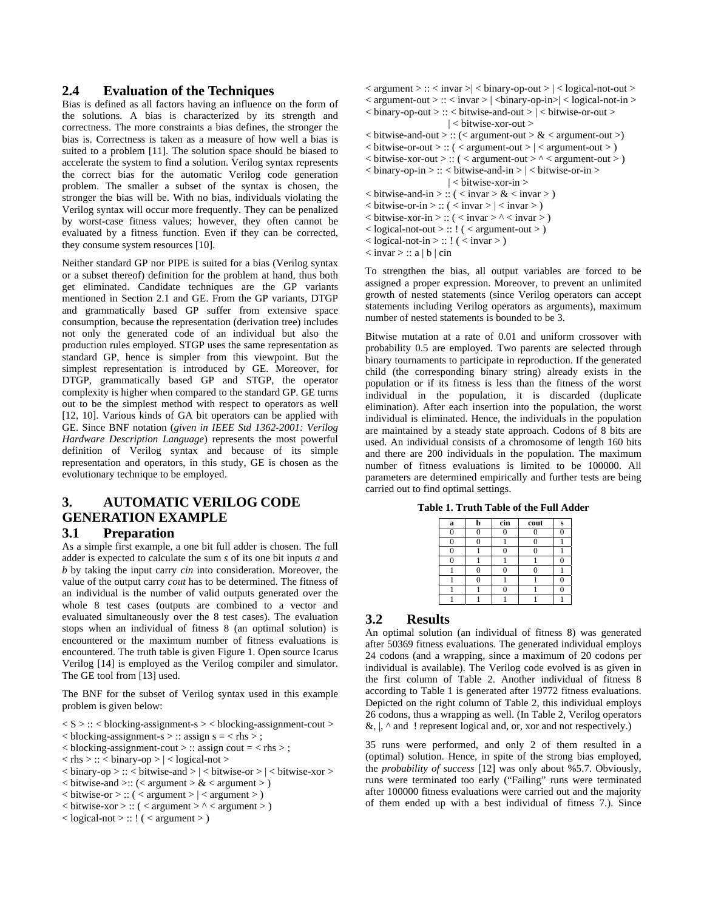#### **2.4 Evaluation of the Techniques**

Bias is defined as all factors having an influence on the form of the solutions. A bias is characterized by its strength and correctness. The more constraints a bias defines, the stronger the bias is. Correctness is taken as a measure of how well a bias is suited to a problem [11]. The solution space should be biased to accelerate the system to find a solution. Verilog syntax represents the correct bias for the automatic Verilog code generation problem. The smaller a subset of the syntax is chosen, the stronger the bias will be. With no bias, individuals violating the Verilog syntax will occur more frequently. They can be penalized by worst-case fitness values; however, they often cannot be evaluated by a fitness function. Even if they can be corrected, they consume system resources [10].

Neither standard GP nor PIPE is suited for a bias (Verilog syntax or a subset thereof) definition for the problem at hand, thus both get eliminated. Candidate techniques are the GP variants mentioned in Section 2.1 and GE. From the GP variants, DTGP and grammatically based GP suffer from extensive space consumption, because the representation (derivation tree) includes not only the generated code of an individual but also the production rules employed. STGP uses the same representation as standard GP, hence is simpler from this viewpoint. But the simplest representation is introduced by GE. Moreover, for DTGP, grammatically based GP and STGP, the operator complexity is higher when compared to the standard GP. GE turns out to be the simplest method with respect to operators as well [12, 10]. Various kinds of GA bit operators can be applied with GE. Since BNF notation (*given in IEEE Std 1362-2001: Verilog Hardware Description Language*) represents the most powerful definition of Verilog syntax and because of its simple representation and operators, in this study, GE is chosen as the evolutionary technique to be employed.

## **3. AUTOMATIC VERILOG CODE GENERATION EXAMPLE**

#### **3.1 Preparation**

As a simple first example, a one bit full adder is chosen. The full adder is expected to calculate the sum *s* of its one bit inputs *a* and *b* by taking the input carry *cin* into consideration. Moreover, the value of the output carry *cout* has to be determined. The fitness of an individual is the number of valid outputs generated over the whole 8 test cases (outputs are combined to a vector and evaluated simultaneously over the 8 test cases). The evaluation stops when an individual of fitness 8 (an optimal solution) is encountered or the maximum number of fitness evaluations is encountered. The truth table is given Figure 1. Open source Icarus Verilog [14] is employed as the Verilog compiler and simulator. The GE tool from [13] used.

The BNF for the subset of Verilog syntax used in this example problem is given below:

 $< S > :: <$  blocking-assignment-s  $> <$  blocking-assignment-cout  $>$ 

```
\langle blocking-assignment-s > :: assign s = \langle rhs >;
```

```
\langle blocking-assignment-cout > :: assign cout = \langle rhs >;
```

```
\langle rhs > :: \langle binary-op > | \langle logical-not >
```

```
\langle binary-op > :: \langle bitwise-and \rangle | \langle bitwise-or \rangle | \langle bitwise-xor \rangle
```

```
\langle bitwise-and \rangle:: \langle argument \rangle \& argument \rangle)
```

```
\langle bitwise-or \rangle :: ( \langle argument \rangle | \langle argument \rangle )
```

```
\langle bitwise-xor > :: (\langle argument > \land \langle argument >)
```

```
\langle logical-not > :: ! (\langle argument \rangle)
```

```
\langle argument \rangle :: \langle invar\rangle \langle binary-op-out \rangle \langle logical-not-out \rangle\langle argument-out \rangle :: \langle invar\rangle | \langle binary-op-in\rangle| \langle logical-not-in \rangle\langle binary-op-out > :: \langle bitwise-and-out > | \langle bitwise-or-out >| < bitwise-xor-out >
\langle bitwise-and-out > :: (\langle argument-out \rangle \& \langle argument-out \rangle)
\langle bitwise-or-out > :: (\langle argument-out \rangle |\langle argument-out \rangle)
\langle bitwise-xor-out > :: (\langle argument-out > \land \langle argument-out >)
\langle binary-op-in \rangle :: \langle bitwise-and-in \rangle | \langle bitwise-or-in \rangle| < bitwise-xor-in > 
\langle bitwise-and-in \rangle :: ( \langle invar \rangle \& \langle invar \rangle )
\langle bitwise-or-in \rangle :: ( \langle invar \rangle | \langle invar \rangle)
\langle bitwise-xor-in \rangle :: ( \langle invar \rangle \wedge \langle invar \rangle )
\langle logical-not-out > :: ! (\langle argument-out \rangle)
\langle logical-not-in > :: ! (\langle invar >)
```

```
\langle invar > :: a | b | cin
```
To strengthen the bias, all output variables are forced to be assigned a proper expression. Moreover, to prevent an unlimited growth of nested statements (since Verilog operators can accept statements including Verilog operators as arguments), maximum number of nested statements is bounded to be 3.

Bitwise mutation at a rate of 0.01 and uniform crossover with probability 0.5 are employed. Two parents are selected through binary tournaments to participate in reproduction. If the generated child (the corresponding binary string) already exists in the population or if its fitness is less than the fitness of the worst individual in the population, it is discarded (duplicate elimination). After each insertion into the population, the worst individual is eliminated. Hence, the individuals in the population are maintained by a steady state approach. Codons of 8 bits are used. An individual consists of a chromosome of length 160 bits and there are 200 individuals in the population. The maximum number of fitness evaluations is limited to be 100000. All parameters are determined empirically and further tests are being carried out to find optimal settings.

**Table 1. Truth Table of the Full Adder** 

| a | b | cin | cout | s |
|---|---|-----|------|---|
| Λ |   |     |      |   |
|   |   |     |      |   |
| n |   |     |      |   |
|   |   |     |      |   |
|   |   |     |      |   |
|   |   |     |      |   |
|   |   |     |      |   |
|   |   |     |      |   |
|   |   |     |      |   |

### **3.2 Results**

An optimal solution (an individual of fitness 8) was generated after 50369 fitness evaluations. The generated individual employs 24 codons (and a wrapping, since a maximum of 20 codons per individual is available). The Verilog code evolved is as given in the first column of Table 2. Another individual of fitness 8 according to Table 1 is generated after 19772 fitness evaluations. Depicted on the right column of Table 2, this individual employs 26 codons, thus a wrapping as well. (In Table 2, Verilog operators &, |, ^ and ! represent logical and, or, xor and not respectively.)

35 runs were performed, and only 2 of them resulted in a (optimal) solution. Hence, in spite of the strong bias employed, the *probability of success* [12] was only about %5.7. Obviously, runs were terminated too early ("Failing" runs were terminated after 100000 fitness evaluations were carried out and the majority of them ended up with a best individual of fitness 7.). Since